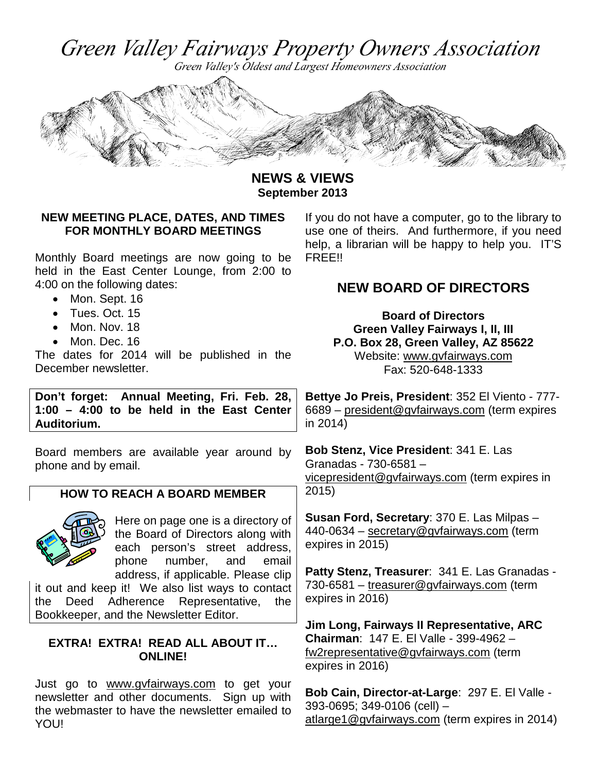Green Valley Fairways Property Owners Association

Green Valley's Oldest and Largest Homeowners Association



**NEWS & VIEWS September 2013**

### **NEW MEETING PLACE, DATES, AND TIMES FOR MONTHLY BOARD MEETINGS**

Monthly Board meetings are now going to be held in the East Center Lounge, from 2:00 to 4:00 on the following dates:

- Mon. Sept. 16
- Tues. Oct. 15
- Mon. Nov. 18
- Mon. Dec. 16

The dates for 2014 will be published in the December newsletter.

**Don't forget: Annual Meeting, Fri. Feb. 28, 1:00 – 4:00 to be held in the East Center Auditorium.** 

Board members are available year around by phone and by email.

## **HOW TO REACH A BOARD MEMBER**



Here on page one is a directory of the Board of Directors along with each person's street address, phone number, and email address, if applicable. Please clip

it out and keep it! We also list ways to contact the Deed Adherence Representative, the Bookkeeper, and the Newsletter Editor.

#### **EXTRA! EXTRA! READ ALL ABOUT IT… ONLINE!**

Just go to [www.gvfairways.com](http://www.gvfairways.com/) to get your newsletter and other documents. Sign up with the webmaster to have the newsletter emailed to YOU!

If you do not have a computer, go to the library to use one of theirs. And furthermore, if you need help, a librarian will be happy to help you. IT'S FREE!!

## **NEW BOARD OF DIRECTORS**

**Board of Directors Green Valley Fairways I, II, III P.O. Box 28, Green Valley, AZ 85622** Website: [www.gvfairways.com](http://www.gvfairways.com/) Fax: 520-648-1333

**Bettye Jo Preis, President**: 352 El Viento - 777- 6689 – president@gvfairways.com (term expires in 2014)

**Bob Stenz, Vice President**: 341 E. Las Granadas - 730-6581 – [vicepresident@gvfairways.com](mailto:vicepresident@gvfairways.com) (term expires in 2015)

**Susan Ford, Secretary**: 370 E. Las Milpas – 440-0634 – [secretary@gvfairways.com](mailto:secretary@gvfairways.com) (term expires in 2015)

**Patty Stenz, Treasurer**: 341 E. Las Granadas - 730-6581 – treasurer@gvfairways.com (term expires in 2016)

**Jim Long, Fairways II Representative, ARC Chairman**: 147 E. El Valle - 399-4962 – fw2representative@gvfairways.com (term expires in 2016)

**Bob Cain, Director-at-Large**: 297 E. El Valle - 393-0695; 349-0106 (cell) – [atlarge1@gvfairways.com](mailto:atlarge1@gvfairways.com) (term expires in 2014)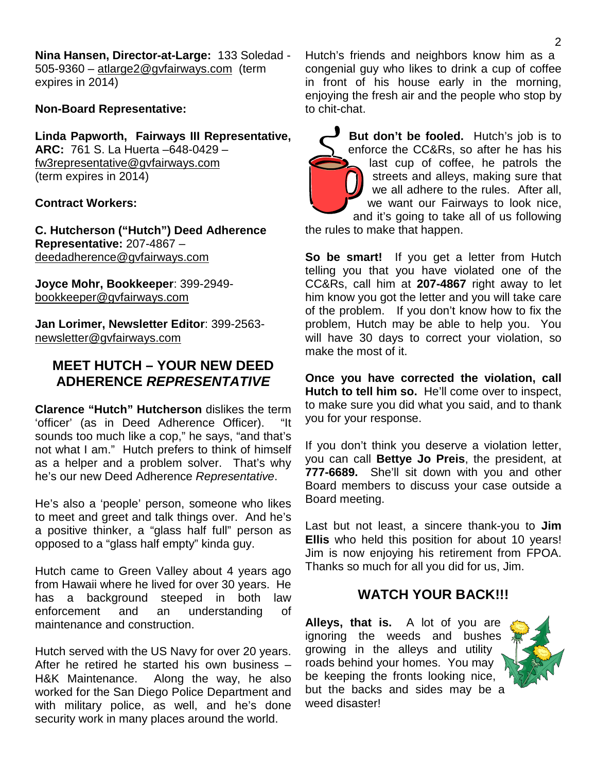**Nina Hansen, Director-at-Large:** 133 Soledad - 505-9360 – atlarge2@gvfairways.com (term expires in 2014)

#### **Non-Board Representative:**

**Linda Papworth, Fairways III Representative, ARC:** 761 S. La Huerta –648-0429 – [fw3representative@gvfairways.com](mailto:fw3representative@gvfairways.com) (term expires in 2014)

#### **Contract Workers:**

**C. Hutcherson ("Hutch") Deed Adherence Representative:** 207-4867 – deedadherence@gvfairways.com

**Joyce Mohr, Bookkeeper**: 399-2949 bookkeeper@gvfairways.com

**Jan Lorimer, Newsletter Editor**: 399-2563 newsletter@gvfairways.com

## **MEET HUTCH – YOUR NEW DEED ADHERENCE** *REPRESENTATIVE*

**Clarence "Hutch" Hutcherson** dislikes the term 'officer' (as in Deed Adherence Officer). "It sounds too much like a cop," he says, "and that's not what I am." Hutch prefers to think of himself as a helper and a problem solver. That's why he's our new Deed Adherence *Representative*.

He's also a 'people' person, someone who likes to meet and greet and talk things over. And he's a positive thinker, a "glass half full" person as opposed to a "glass half empty" kinda guy.

Hutch came to Green Valley about 4 years ago from Hawaii where he lived for over 30 years. He has a background steeped in both law enforcement and an understanding of maintenance and construction.

Hutch served with the US Navy for over 20 years. After he retired he started his own business – H&K Maintenance. Along the way, he also worked for the San Diego Police Department and with military police, as well, and he's done security work in many places around the world.

Hutch's friends and neighbors know him as a congenial guy who likes to drink a cup of coffee in front of his house early in the morning, enjoying the fresh air and the people who stop by to chit-chat.

**But don't be fooled.** Hutch's job is to enforce the CC&Rs, so after he has his last cup of coffee, he patrols the streets and alleys, making sure that we all adhere to the rules. After all, we want our Fairways to look nice, and it's going to take all of us following

the rules to make that happen.

**So be smart!** If you get a letter from Hutch telling you that you have violated one of the CC&Rs, call him at **207-4867** right away to let him know you got the letter and you will take care of the problem. If you don't know how to fix the problem, Hutch may be able to help you. You will have 30 days to correct your violation, so make the most of it.

**Once you have corrected the violation, call Hutch to tell him so.** He'll come over to inspect, to make sure you did what you said, and to thank you for your response.

If you don't think you deserve a violation letter, you can call **Bettye Jo Preis**, the president, at **777-6689.** She'll sit down with you and other Board members to discuss your case outside a Board meeting.

Last but not least, a sincere thank-you to **Jim Ellis** who held this position for about 10 years! Jim is now enjoying his retirement from FPOA. Thanks so much for all you did for us, Jim.

### **WATCH YOUR BACK!!!**

**Alleys, that is.** A lot of you are ignoring the weeds and bushes growing in the alleys and utility roads behind your homes. You may be keeping the fronts looking nice, but the backs and sides may be a weed disaster!

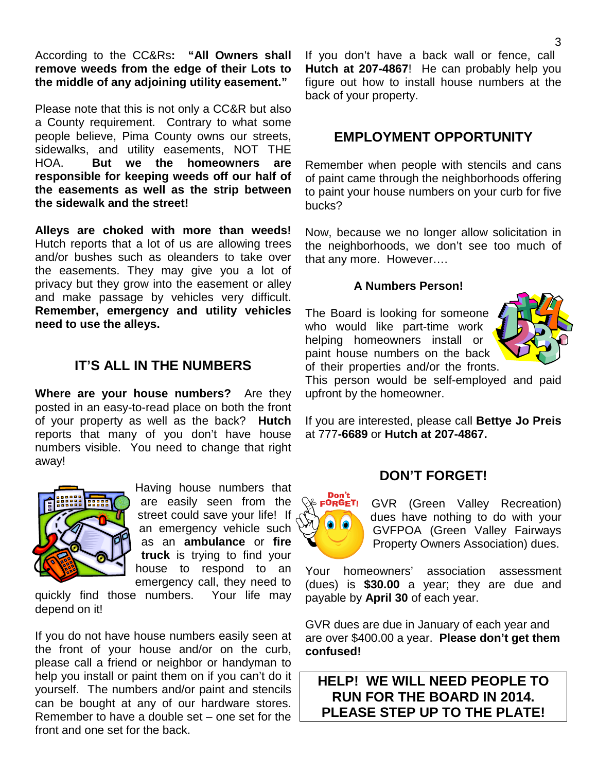According to the CC&Rs**: "All Owners shall remove weeds from the edge of their Lots to the middle of any adjoining utility easement."** 

Please note that this is not only a CC&R but also a County requirement. Contrary to what some people believe, Pima County owns our streets, sidewalks, and utility easements, NOT THE HOA. **But we the homeowners are responsible for keeping weeds off our half of the easements as well as the strip between the sidewalk and the street!**

**Alleys are choked with more than weeds!**  Hutch reports that a lot of us are allowing trees and/or bushes such as oleanders to take over the easements. They may give you a lot of privacy but they grow into the easement or alley and make passage by vehicles very difficult. **Remember, emergency and utility vehicles need to use the alleys.** 

## **IT'S ALL IN THE NUMBERS**

**Where are your house numbers?** Are they posted in an easy-to-read place on both the front of your property as well as the back? **Hutch** reports that many of you don't have house numbers visible. You need to change that right away!



Having house numbers that are easily seen from the street could save your life! If an emergency vehicle such as an **ambulance** or **fire truck** is trying to find your house to respond to an emergency call, they need to

quickly find those numbers. Your life may depend on it!

If you do not have house numbers easily seen at the front of your house and/or on the curb, please call a friend or neighbor or handyman to help you install or paint them on if you can't do it yourself. The numbers and/or paint and stencils can be bought at any of our hardware stores. Remember to have a double set – one set for the front and one set for the back.

If you don't have a back wall or fence, call **Hutch at 207-4867**! He can probably help you figure out how to install house numbers at the back of your property.

### **EMPLOYMENT OPPORTUNITY**

Remember when people with stencils and cans of paint came through the neighborhoods offering to paint your house numbers on your curb for five bucks?

Now, because we no longer allow solicitation in the neighborhoods, we don't see too much of that any more. However….

#### **A Numbers Person!**

The Board is looking for someone who would like part-time work helping homeowners install or paint house numbers on the back of their properties and/or the fronts.



This person would be self-employed and paid upfront by the homeowner.

If you are interested, please call **Bettye Jo Preis** at 777**-6689** or **Hutch at 207-4867.**

#### **DON'T FORGET!**



GVR (Green Valley Recreation) dues have nothing to do with your GVFPOA (Green Valley Fairways Property Owners Association) dues.

Your homeowners' association assessment (dues) is **\$30.00** a year; they are due and payable by **April 30** of each year.

GVR dues are due in January of each year and are over \$400.00 a year. **Please don't get them confused!**

**HELP! WE WILL NEED PEOPLE TO RUN FOR THE BOARD IN 2014. PLEASE STEP UP TO THE PLATE!**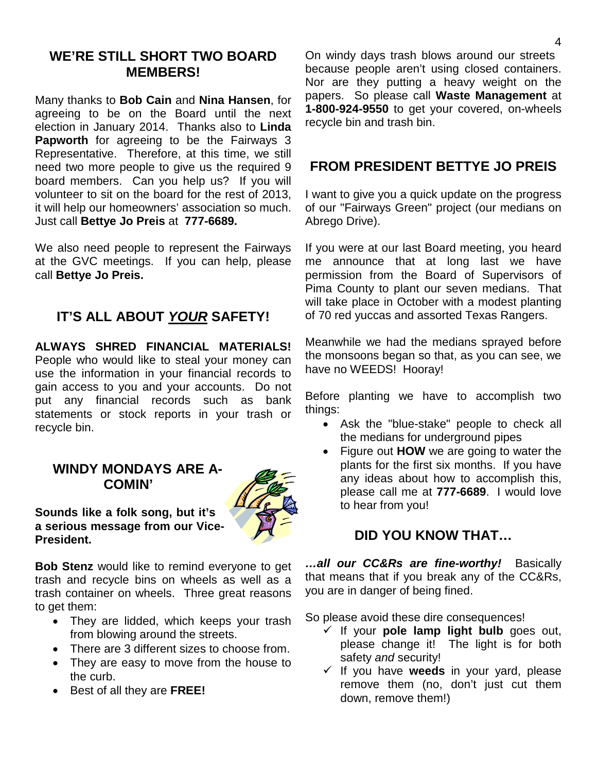## **WE'RE STILL SHORT TWO BOARD MEMBERS!**

Many thanks to **Bob Cain** and **Nina Hansen**, for agreeing to be on the Board until the next election in January 2014. Thanks also to **Linda Papworth** for agreeing to be the Fairways 3 Representative. Therefore, at this time, we still need two more people to give us the required 9 board members. Can you help us? If you will volunteer to sit on the board for the rest of 2013, it will help our homeowners' association so much. Just call **Bettye Jo Preis** at **777-6689.**

We also need people to represent the Fairways at the GVC meetings. If you can help, please call **Bettye Jo Preis.** 

## **IT'S ALL ABOUT** *YOUR* **SAFETY!**

**ALWAYS SHRED FINANCIAL MATERIALS!** People who would like to steal your money can use the information in your financial records to gain access to you and your accounts. Do not put any financial records such as bank statements or stock reports in your trash or recycle bin.

### **WINDY MONDAYS ARE A-COMIN'**



**Sounds like a folk song, but it's a serious message from our Vice-President.** 

**Bob Stenz** would like to remind everyone to get trash and recycle bins on wheels as well as a trash container on wheels. Three great reasons to get them:

- They are lidded, which keeps your trash from blowing around the streets.
- There are 3 different sizes to choose from.
- They are easy to move from the house to the curb.
- Best of all they are **FREE!**

On windy days trash blows around our streets because people aren't using closed containers. Nor are they putting a heavy weight on the papers. So please call **Waste Management** at **1-800-924-9550** to get your covered, on-wheels recycle bin and trash bin.

## **FROM PRESIDENT BETTYE JO PREIS**

I want to give you a quick update on the progress of our "Fairways Green" project (our medians on Abrego Drive).

If you were at our last Board meeting, you heard me announce that at long last we have permission from the Board of Supervisors of Pima County to plant our seven medians. That will take place in October with a modest planting of 70 red yuccas and assorted Texas Rangers.

Meanwhile we had the medians sprayed before the monsoons began so that, as you can see, we have no WEEDS! Hooray!

Before planting we have to accomplish two things:

- Ask the "blue-stake" people to check all the medians for underground pipes
- Figure out **HOW** we are going to water the plants for the first six months. If you have any ideas about how to accomplish this, please call me at **777-6689**. I would love to hear from you!

## **DID YOU KNOW THAT…**

*…all our CC&Rs are fine-worthy!* Basically that means that if you break any of the CC&Rs, you are in danger of being fined.

So please avoid these dire consequences!

- $\checkmark$  If your **pole lamp light bulb** goes out, please change it! The light is for both safety *and* security!
- If you have **weeds** in your yard, please remove them (no, don't just cut them down, remove them!)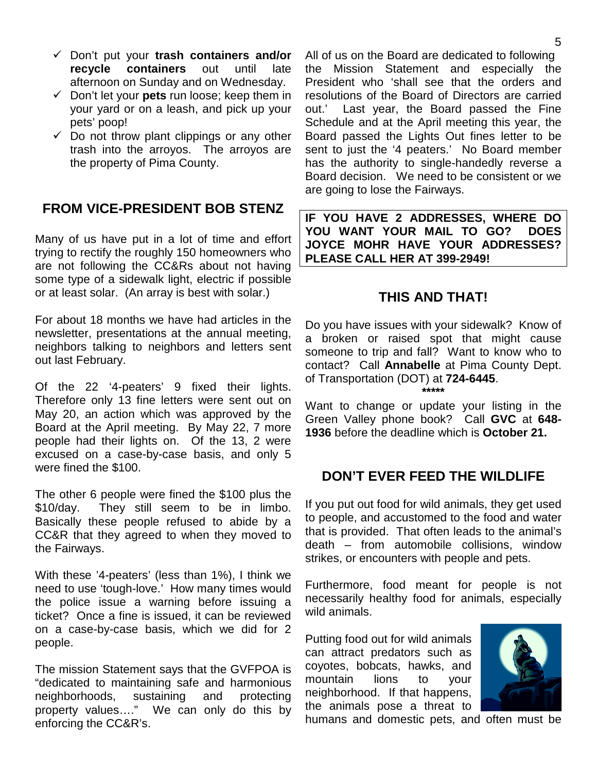- Don't put your **trash containers and/or recycle containers** out until late afternoon on Sunday and on Wednesday.
- $\checkmark$  Don't let your **pets** run loose; keep them in your yard or on a leash, and pick up your pets' poop!
- $\checkmark$  Do not throw plant clippings or any other trash into the arroyos. The arroyos are the property of Pima County.

## **FROM VICE-PRESIDENT BOB STENZ**

Many of us have put in a lot of time and effort trying to rectify the roughly 150 homeowners who are not following the CC&Rs about not having some type of a sidewalk light, electric if possible or at least solar. (An array is best with solar.)

For about 18 months we have had articles in the newsletter, presentations at the annual meeting, neighbors talking to neighbors and letters sent out last February.

Of the 22 '4-peaters' 9 fixed their lights. Therefore only 13 fine letters were sent out on May 20, an action which was approved by the Board at the April meeting. By May 22, 7 more people had their lights on. Of the 13, 2 were excused on a case-by-case basis, and only 5 were fined the \$100.

The other 6 people were fined the \$100 plus the \$10/day. They still seem to be in limbo. Basically these people refused to abide by a CC&R that they agreed to when they moved to the Fairways.

With these '4-peaters' (less than 1%), I think we need to use 'tough-love.' How many times would the police issue a warning before issuing a ticket? Once a fine is issued, it can be reviewed on a case-by-case basis, which we did for 2 people.

The mission Statement says that the GVFPOA is "dedicated to maintaining safe and harmonious neighborhoods, sustaining and protecting property values…." We can only do this by enforcing the CC&R's.

All of us on the Board are dedicated to following the Mission Statement and especially the President who 'shall see that the orders and resolutions of the Board of Directors are carried out.' Last year, the Board passed the Fine Schedule and at the April meeting this year, the Board passed the Lights Out fines letter to be sent to just the '4 peaters.' No Board member has the authority to single-handedly reverse a Board decision. We need to be consistent or we are going to lose the Fairways.

**IF YOU HAVE 2 ADDRESSES, WHERE DO YOU WANT YOUR MAIL TO GO? DOES JOYCE MOHR HAVE YOUR ADDRESSES? PLEASE CALL HER AT 399-2949!** 

## **THIS AND THAT!**

Do you have issues with your sidewalk? Know of a broken or raised spot that might cause someone to trip and fall? Want to know who to contact? Call **Annabelle** at Pima County Dept. of Transportation (DOT) at **724-6445**. **\*\*\*\*\***

Want to change or update your listing in the Green Valley phone book? Call **GVC** at **648- 1936** before the deadline which is **October 21.**

## **DON'T EVER FEED THE WILDLIFE**

If you put out food for wild animals, they get used to people, and accustomed to the food and water that is provided. That often leads to the animal's death – from automobile collisions, window strikes, or encounters with people and pets.

Furthermore, food meant for people is not necessarily healthy food for animals, especially wild animals.

Putting food out for wild animals can attract predators such as coyotes, bobcats, hawks, and mountain lions to your neighborhood. If that happens, the animals pose a threat to



humans and domestic pets, and often must be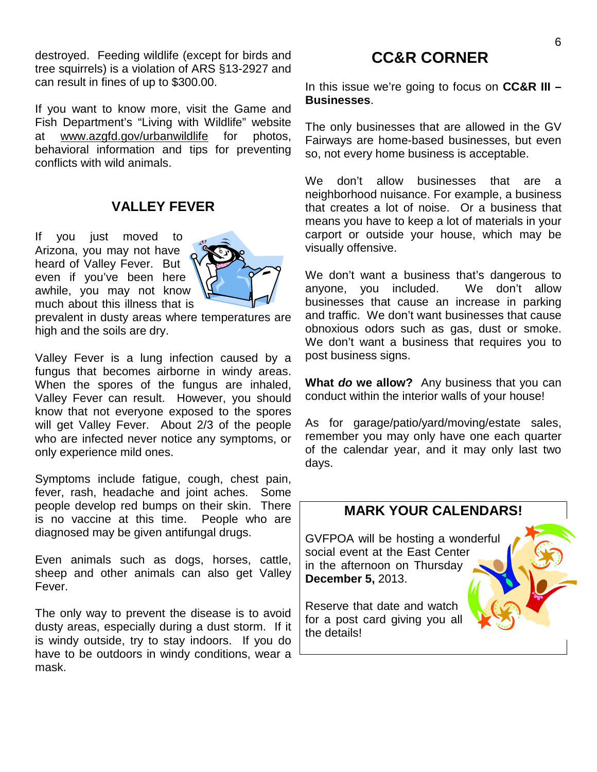destroyed. Feeding wildlife (except for birds and tree squirrels) is a violation of ARS §13-2927 and can result in fines of up to \$300.00.

If you want to know more, visit the Game and Fish Department's "Living with Wildlife" website at [www.azgfd.gov/urbanwildlife](http://www.azgfd.gov/urbanwildlife) for photos, behavioral information and tips for preventing conflicts with wild animals.

### **VALLEY FEVER**

If you just moved to Arizona, you may not have heard of Valley Fever. But even if you've been here awhile, you may not know much about this illness that is



prevalent in dusty areas where temperatures are high and the soils are dry.

Valley Fever is a lung infection caused by a fungus that becomes airborne in windy areas. When the spores of the fungus are inhaled, Valley Fever can result. However, you should know that not everyone exposed to the spores will get Valley Fever. About 2/3 of the people who are infected never notice any symptoms, or only experience mild ones.

Symptoms include fatigue, cough, chest pain, fever, rash, headache and joint aches. Some people develop red bumps on their skin. There is no vaccine at this time. People who are diagnosed may be given antifungal drugs.

Even animals such as dogs, horses, cattle, sheep and other animals can also get Valley Fever.

The only way to prevent the disease is to avoid dusty areas, especially during a dust storm. If it is windy outside, try to stay indoors. If you do have to be outdoors in windy conditions, wear a mask.

## **CC&R CORNER**

In this issue we're going to focus on **CC&R III – Businesses**.

The only businesses that are allowed in the GV Fairways are home-based businesses, but even so, not every home business is acceptable.

We don't allow businesses that are a neighborhood nuisance. For example, a business that creates a lot of noise. Or a business that means you have to keep a lot of materials in your carport or outside your house, which may be visually offensive.

We don't want a business that's dangerous to anyone, you included. We don't allow businesses that cause an increase in parking and traffic. We don't want businesses that cause obnoxious odors such as gas, dust or smoke. We don't want a business that requires you to post business signs.

**What** *do* **we allow?** Any business that you can conduct within the interior walls of your house!

As for garage/patio/yard/moving/estate sales, remember you may only have one each quarter of the calendar year, and it may only last two days.

# **MARK YOUR CALENDARS!** GVFPOA will be hosting a wonderful social event at the East Center in the afternoon on Thursday **December 5,** 2013. Reserve that date and watch for a post card giving you all the details!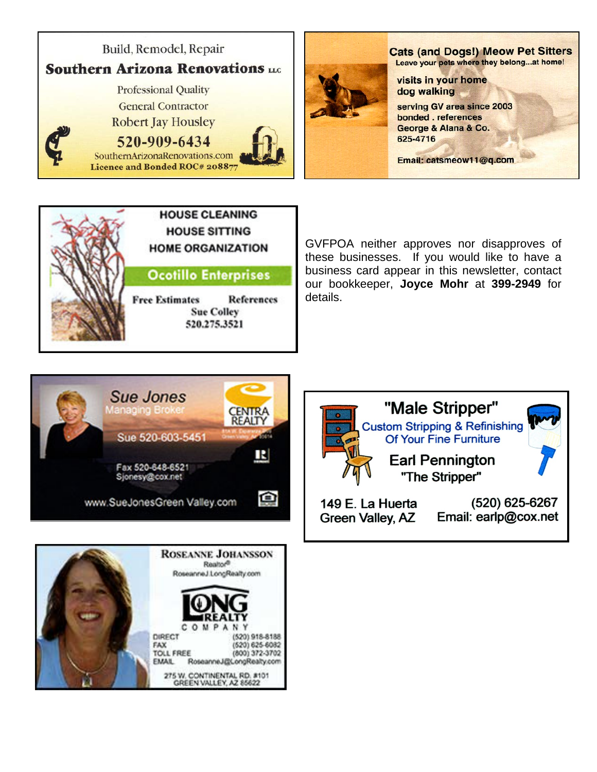



GVFPOA neither approves nor disapproves of these businesses. If you would like to have a business card appear in this newsletter, contact our bookkeeper, **Joyce Mohr** at **399-2949** for details.